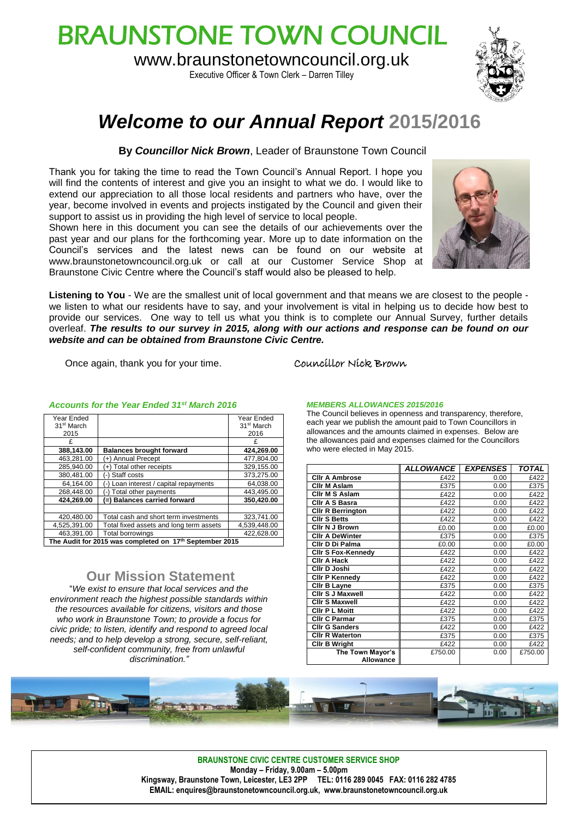# BRAUNSTONE TOWN COUNCIL

www.braunstonetowncouncil.org.uk

Executive Officer & Town Clerk – Darren Tilley



## *Welcome to our Annual Report* **2015/2016**

**By** *Councillor Nick Brown*, Leader of Braunstone Town Council

Thank you for taking the time to read the Town Council's Annual Report. I hope you will find the contents of interest and give you an insight to what we do. I would like to extend our appreciation to all those local residents and partners who have, over the year, become involved in events and projects instigated by the Council and given their support to assist us in providing the high level of service to local people.

Shown here in this document you can see the details of our achievements over the past year and our plans for the forthcoming year. More up to date information on the Council's services and the latest news can be found on our website at www.braunstonetowncouncil.org.uk or call at our Customer Service Shop at Braunstone Civic Centre where the Council's staff would also be pleased to help.

**Listening to You** - We are the smallest unit of local government and that means we are closest to the people we listen to what our residents have to say, and your involvement is vital in helping us to decide how best to provide our services. One way to tell us what you think is to complete our Annual Survey, further details overleaf. *The results to our survey in 2015, along with our actions and response can be found on our website and can be obtained from Braunstone Civic Centre.*

Once again, thank you for your time. Councillor Nick Brown

#### *Accounts for the Year Ended 31st March 2016*

| Year Ended                                              |                                         | Year Ended             |  |  |
|---------------------------------------------------------|-----------------------------------------|------------------------|--|--|
| 31 <sup>st</sup> March                                  |                                         | 31 <sup>st</sup> March |  |  |
| 2015                                                    |                                         | 2016                   |  |  |
| £                                                       |                                         | £                      |  |  |
| 388,143.00                                              | <b>Balances brought forward</b>         | 424,269.00             |  |  |
| 463.281.00                                              | (+) Annual Precept                      | 477.804.00             |  |  |
| 285,940.00                                              | (+) Total other receipts                | 329.155.00             |  |  |
| 380.481.00                                              | (-) Staff costs                         | 373.275.00             |  |  |
| 64.164.00                                               | (-) Loan interest / capital repayments  | 64,038.00              |  |  |
| 268.448.00                                              | Total other payments                    | 443,495.00             |  |  |
| 424.269.00                                              | (=) Balances carried forward            | 350.420.00             |  |  |
|                                                         |                                         |                        |  |  |
| 420,480.00                                              | Total cash and short term investments   | 323,741.00             |  |  |
| 4.525.391.00                                            | Total fixed assets and long term assets | 4,539,448.00           |  |  |
| 463.391.00                                              | <b>Total borrowings</b>                 | 422.628.00             |  |  |
| The Audit for 2015 was completed on 17th September 2015 |                                         |                        |  |  |

#### **Our Mission Statement**

"*We exist to ensure that local services and the environment reach the highest possible standards within the resources available for citizens, visitors and those who work in Braunstone Town; to provide a focus for civic pride; to listen, identify and respond to agreed local needs; and to help develop a strong, secure, self-reliant, self-confident community, free from unlawful discrimination."*

#### *MEMBERS ALLOWANCES 2015/2016*

The Council believes in openness and transparency, therefore, each year we publish the amount paid to Town Councillors in allowances and the amounts claimed in expenses. Below are the allowances paid and expenses claimed for the Councillors who were elected in May 2015.

|                           | <b>ALLOWANCE</b> | <b>EXPENSES</b> | <b>TOTAL</b> |
|---------------------------|------------------|-----------------|--------------|
| <b>CIIr A Ambrose</b>     | £422             | 0.00            | £422         |
| Cllr M Aslam              | £375             | 0.00            | £375         |
| <b>Clir M S Aslam</b>     | £422             | 0.00            | £422         |
| <b>CIIr A S Basra</b>     | £422             | 0.00            | £422         |
| <b>CIIr R Berrington</b>  | £422             | 0.00            | £422         |
| <b>CIIr S Betts</b>       | £422             | 0.00            | £422         |
| Cilr N J Brown            | £0.00            | 0.00            | £0.00        |
| <b>CIIr A DeWinter</b>    | £375             | 0.00            | £375         |
| Cllr D Di Palma           | £0.00            | 0.00            | £0.00        |
| <b>CIIr S Fox-Kennedy</b> | £422             | 0.00            | £422         |
| <b>CIIr A Hack</b>        | £422             | 0.00            | £422         |
| Cllr D Joshi              | £422             | 0.00            | £422         |
| <b>CIIr P Kennedv</b>     | £422             | 0.00            | £422         |
| Cilr B Layne              | £375             | 0.00            | £375         |
| <b>CIIr S J Maxwell</b>   | £422             | 0.00            | £422         |
| <b>Clir S Maxwell</b>     | £422             | 0.00            | £422         |
| <b>CIIr P L Moitt</b>     | £422             | 0.00            | £422         |
| <b>CIIr C Parmar</b>      | £375             | 0.00            | £375         |
| <b>CIIr G Sanders</b>     | £422             | 0.00            | £422         |
| <b>CIIr R Waterton</b>    | £375             | 0.00            | £375         |
| <b>CIIr B Wright</b>      | £422             | 0.00            | £422         |
| The Town Mayor's          | £750.00          | 0.00            | £750.00      |
| <b>Allowance</b>          |                  |                 |              |



**BRAUNSTONE CIVIC CENTRE CUSTOMER SERVICE SHOP Monday – Friday, 9.00am – 5.00pm Kingsway, Braunstone Town, Leicester, LE3 2PP TEL: 0116 289 0045 FAX: 0116 282 4785 EMAIL: enquires@braunstonetowncouncil.org.uk, www.braunstonetowncouncil.org.uk**